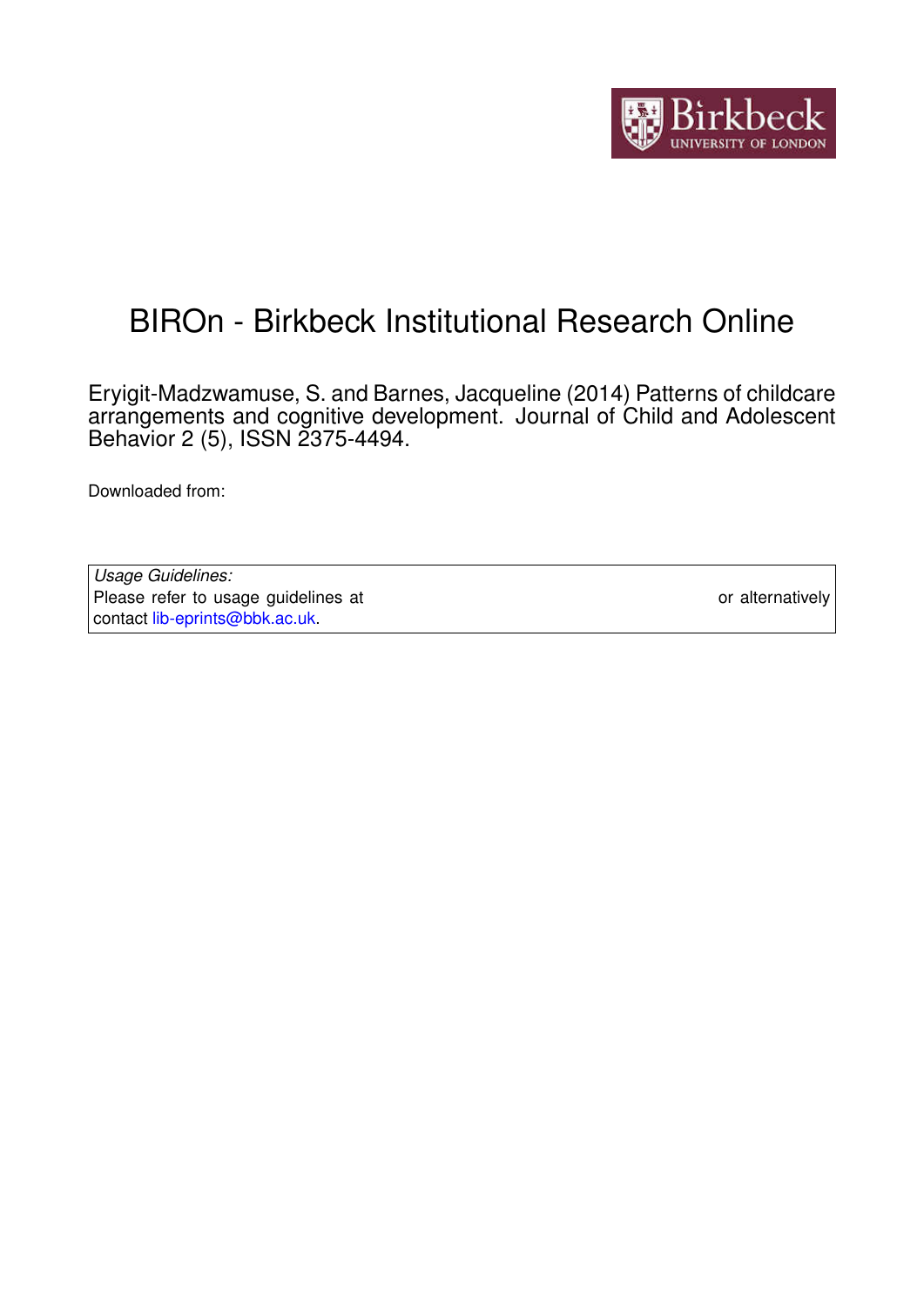

# BIROn - Birkbeck Institutional Research Online

Eryigit-Madzwamuse, S. and Barnes, Jacqueline (2014) Patterns of childcare arrangements and cognitive development. Journal of Child and Adolescent Behavior 2 (5), ISSN 2375-4494.

Downloaded from: <https://eprints.bbk.ac.uk/id/eprint/11016/>

*Usage Guidelines:* Please refer to usage guidelines at <https://eprints.bbk.ac.uk/policies.html> or alternatively contact [lib-eprints@bbk.ac.uk.](mailto:lib-eprints@bbk.ac.uk)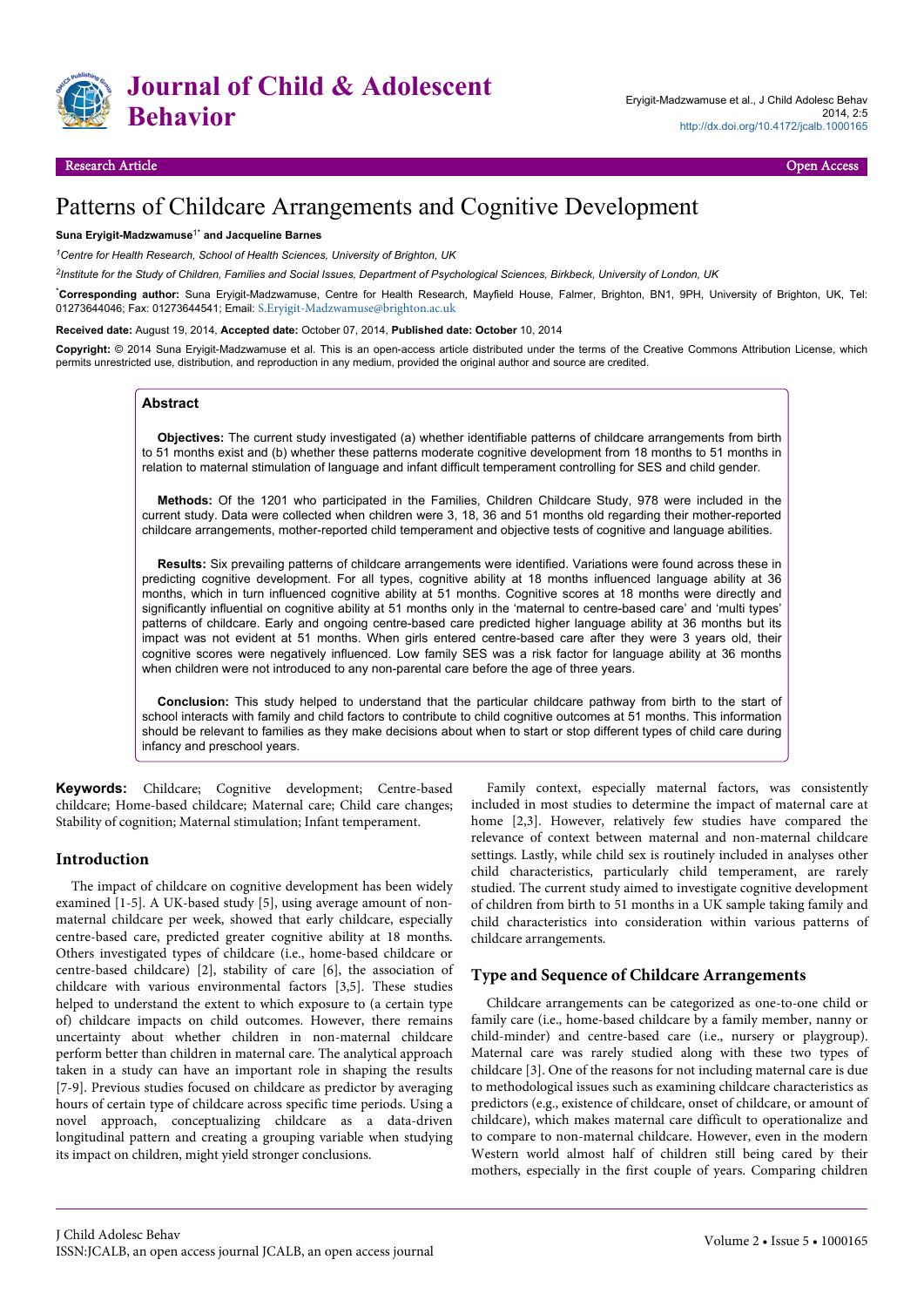

# Patterns of Childcare Arrangements and Cognitive Development

#### **Suna Eryigit-Madzwamuse**1\* **and Jacqueline Barnes**

*<sup>1</sup>Centre for Health Research, School of Health Sciences, University of Brighton, UK*

*2 Institute for the Study of Children, Families and Social Issues, Department of Psychological Sciences, Birkbeck, University of London, UK*

\***Corresponding author:** Suna Eryigit-Madzwamuse, Centre for Health Research, Mayfield House, Falmer, Brighton, BN1, 9PH, University of Brighton, UK, Tel: 01273644046; Fax: 01273644541; Email: [S.Eryigit-Madzwamuse@brighton.ac.uk](mailto:S.Eryigit-Madzwamuse@brighton.ac.uk)

**Received date:** August 19, 2014, **Accepted date:** October 07, 2014, **Published date: October** 10, 2014

**Copyright:** © 2014 Suna Eryigit-Madzwamuse et al. This is an open-access article distributed under the terms of the Creative Commons Attribution License, which permits unrestricted use, distribution, and reproduction in any medium, provided the original author and source are credited.

#### **Abstract**

**Objectives:** The current study investigated (a) whether identifiable patterns of childcare arrangements from birth to 51 months exist and (b) whether these patterns moderate cognitive development from 18 months to 51 months in relation to maternal stimulation of language and infant difficult temperament controlling for SES and child gender.

**Methods:** Of the 1201 who participated in the Families, Children Childcare Study, 978 were included in the current study. Data were collected when children were 3, 18, 36 and 51 months old regarding their mother-reported childcare arrangements, mother-reported child temperament and objective tests of cognitive and language abilities.

**Results:** Six prevailing patterns of childcare arrangements were identified. Variations were found across these in predicting cognitive development. For all types, cognitive ability at 18 months influenced language ability at 36 months, which in turn influenced cognitive ability at 51 months. Cognitive scores at 18 months were directly and significantly influential on cognitive ability at 51 months only in the 'maternal to centre-based care' and 'multi types' patterns of childcare. Early and ongoing centre-based care predicted higher language ability at 36 months but its impact was not evident at 51 months. When girls entered centre-based care after they were 3 years old, their cognitive scores were negatively influenced. Low family SES was a risk factor for language ability at 36 months when children were not introduced to any non-parental care before the age of three years.

**Conclusion:** This study helped to understand that the particular childcare pathway from birth to the start of school interacts with family and child factors to contribute to child cognitive outcomes at 51 months. This information should be relevant to families as they make decisions about when to start or stop different types of child care during infancy and preschool years.

**Keywords:** Childcare; Cognitive development; Centre-based childcare; Home-based childcare; Maternal care; Child care changes; Stability of cognition; Maternal stimulation; Infant temperament.

#### **Introduction**

The impact of childcare on cognitive development has been widely examined [1-5]. A UK-based study [5], using average amount of nonmaternal childcare per week, showed that early childcare, especially centre-based care, predicted greater cognitive ability at 18 months. Others investigated types of childcare (i.e., home-based childcare or centre-based childcare) [2], stability of care [6], the association of childcare with various environmental factors [3,5]. These studies helped to understand the extent to which exposure to (a certain type of) childcare impacts on child outcomes. However, there remains uncertainty about whether children in non-maternal childcare perform better than children in maternal care. The analytical approach taken in a study can have an important role in shaping the results [7-9]. Previous studies focused on childcare as predictor by averaging hours of certain type of childcare across specific time periods. Using a novel approach, conceptualizing childcare as a data-driven longitudinal pattern and creating a grouping variable when studying its impact on children, might yield stronger conclusions.

Family context, especially maternal factors, was consistently included in most studies to determine the impact of maternal care at home [2,3]. However, relatively few studies have compared the relevance of context between maternal and non-maternal childcare settings. Lastly, while child sex is routinely included in analyses other child characteristics, particularly child temperament, are rarely studied. The current study aimed to investigate cognitive development of children from birth to 51 months in a UK sample taking family and child characteristics into consideration within various patterns of childcare arrangements.

#### **Type and Sequence of Childcare Arrangements**

Childcare arrangements can be categorized as one-to-one child or family care (i.e., home-based childcare by a family member, nanny or child-minder) and centre-based care (i.e., nursery or playgroup). Maternal care was rarely studied along with these two types of childcare [3]. One of the reasons for not including maternal care is due to methodological issues such as examining childcare characteristics as predictors (e.g., existence of childcare, onset of childcare, or amount of childcare), which makes maternal care difficult to operationalize and to compare to non-maternal childcare. However, even in the modern Western world almost half of children still being cared by their mothers, especially in the first couple of years. Comparing children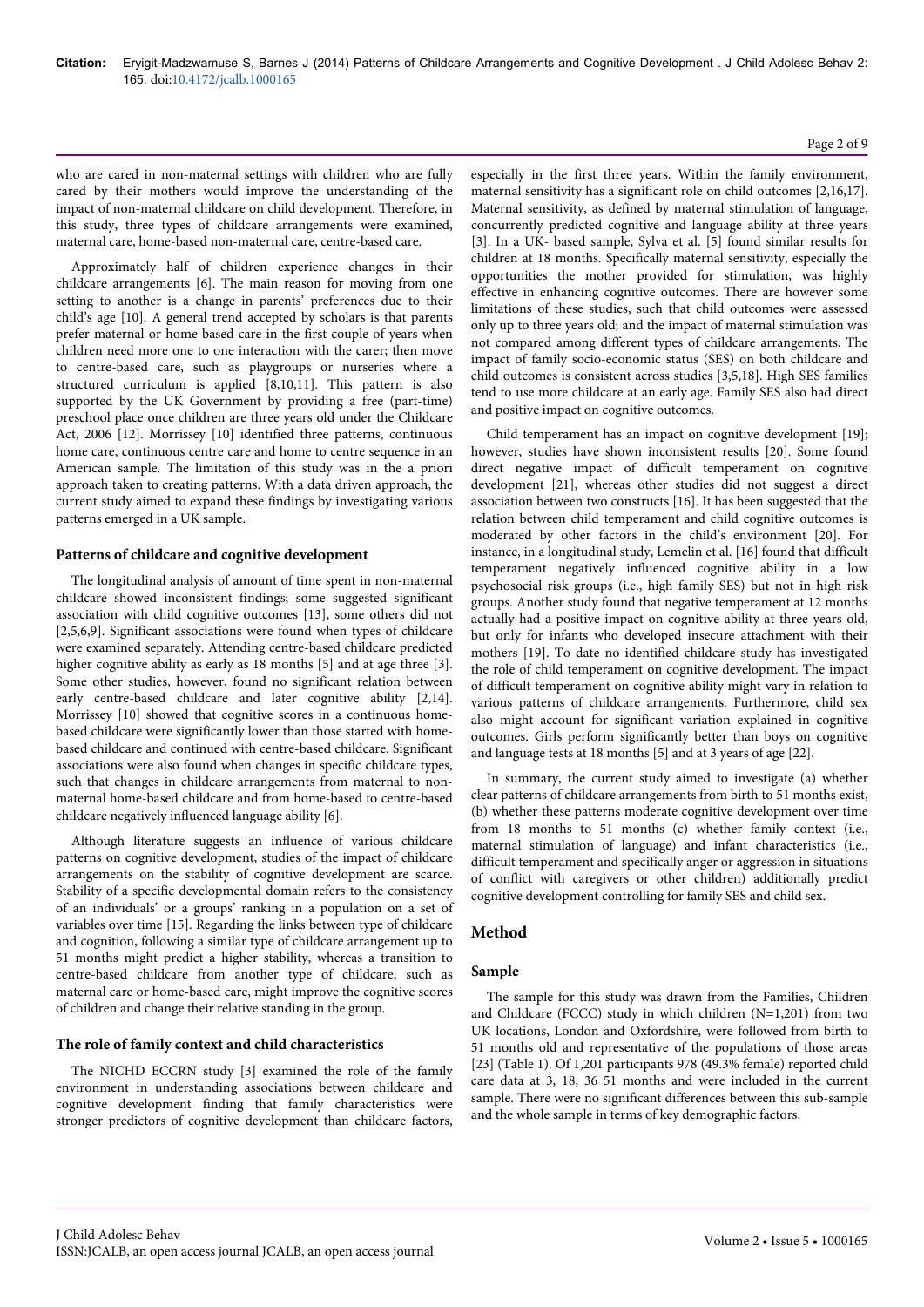who are cared in non-maternal settings with children who are fully cared by their mothers would improve the understanding of the impact of non-maternal childcare on child development. Therefore, in this study, three types of childcare arrangements were examined, maternal care, home-based non-maternal care, centre-based care.

Approximately half of children experience changes in their childcare arrangements [6]. The main reason for moving from one setting to another is a change in parents' preferences due to their child's age [10]. A general trend accepted by scholars is that parents prefer maternal or home based care in the first couple of years when children need more one to one interaction with the carer; then move to centre-based care, such as playgroups or nurseries where a structured curriculum is applied [8,10,11]. This pattern is also supported by the UK Government by providing a free (part-time) preschool place once children are three years old under the Childcare Act, 2006 [12]. Morrissey [10] identified three patterns, continuous home care, continuous centre care and home to centre sequence in an American sample. The limitation of this study was in the a priori approach taken to creating patterns. With a data driven approach, the current study aimed to expand these findings by investigating various patterns emerged in a UK sample.

#### **Patterns of childcare and cognitive development**

The longitudinal analysis of amount of time spent in non-maternal childcare showed inconsistent findings; some suggested significant association with child cognitive outcomes [13], some others did not [2,5,6,9]. Significant associations were found when types of childcare were examined separately. Attending centre-based childcare predicted higher cognitive ability as early as 18 months [5] and at age three [3]. Some other studies, however, found no significant relation between early centre-based childcare and later cognitive ability [2,14]. Morrissey [10] showed that cognitive scores in a continuous homebased childcare were significantly lower than those started with homebased childcare and continued with centre-based childcare. Significant associations were also found when changes in specific childcare types, such that changes in childcare arrangements from maternal to nonmaternal home-based childcare and from home-based to centre-based childcare negatively influenced language ability [6].

Although literature suggests an influence of various childcare patterns on cognitive development, studies of the impact of childcare arrangements on the stability of cognitive development are scarce. Stability of a specific developmental domain refers to the consistency of an individuals' or a groups' ranking in a population on a set of variables over time [15]. Regarding the links between type of childcare and cognition, following a similar type of childcare arrangement up to 51 months might predict a higher stability, whereas a transition to centre-based childcare from another type of childcare, such as maternal care or home-based care, might improve the cognitive scores of children and change their relative standing in the group.

#### **The role of family context and child characteristics**

The NICHD ECCRN study [3] examined the role of the family environment in understanding associations between childcare and cognitive development finding that family characteristics were stronger predictors of cognitive development than childcare factors, especially in the first three years. Within the family environment, maternal sensitivity has a significant role on child outcomes [2,16,17]. Maternal sensitivity, as defined by maternal stimulation of language, concurrently predicted cognitive and language ability at three years [3]. In a UK- based sample, Sylva et al. [5] found similar results for children at 18 months. Specifically maternal sensitivity, especially the opportunities the mother provided for stimulation, was highly effective in enhancing cognitive outcomes. There are however some limitations of these studies, such that child outcomes were assessed only up to three years old; and the impact of maternal stimulation was not compared among different types of childcare arrangements. The impact of family socio-economic status (SES) on both childcare and child outcomes is consistent across studies [3,5,18]. High SES families tend to use more childcare at an early age. Family SES also had direct and positive impact on cognitive outcomes.

Child temperament has an impact on cognitive development [19]; however, studies have shown inconsistent results [20]. Some found direct negative impact of difficult temperament on cognitive development [21], whereas other studies did not suggest a direct association between two constructs [16]. It has been suggested that the relation between child temperament and child cognitive outcomes is moderated by other factors in the child's environment [20]. For instance, in a longitudinal study, Lemelin et al. [16] found that difficult temperament negatively influenced cognitive ability in a low psychosocial risk groups (i.e., high family SES) but not in high risk groups. Another study found that negative temperament at 12 months actually had a positive impact on cognitive ability at three years old, but only for infants who developed insecure attachment with their mothers [19]. To date no identified childcare study has investigated the role of child temperament on cognitive development. The impact of difficult temperament on cognitive ability might vary in relation to various patterns of childcare arrangements. Furthermore, child sex also might account for significant variation explained in cognitive outcomes. Girls perform significantly better than boys on cognitive and language tests at 18 months [5] and at 3 years of age [22].

In summary, the current study aimed to investigate (a) whether clear patterns of childcare arrangements from birth to 51 months exist, (b) whether these patterns moderate cognitive development over time from 18 months to 51 months (c) whether family context (i.e., maternal stimulation of language) and infant characteristics (i.e., difficult temperament and specifically anger or aggression in situations of conflict with caregivers or other children) additionally predict cognitive development controlling for family SES and child sex.

### **Method**

#### **Sample**

The sample for this study was drawn from the Families, Children and Childcare (FCCC) study in which children (N=1,201) from two UK locations, London and Oxfordshire, were followed from birth to 51 months old and representative of the populations of those areas [23] (Table 1). Of 1,201 participants 978 (49.3% female) reported child care data at 3, 18, 36 51 months and were included in the current sample. There were no significant differences between this sub-sample and the whole sample in terms of key demographic factors.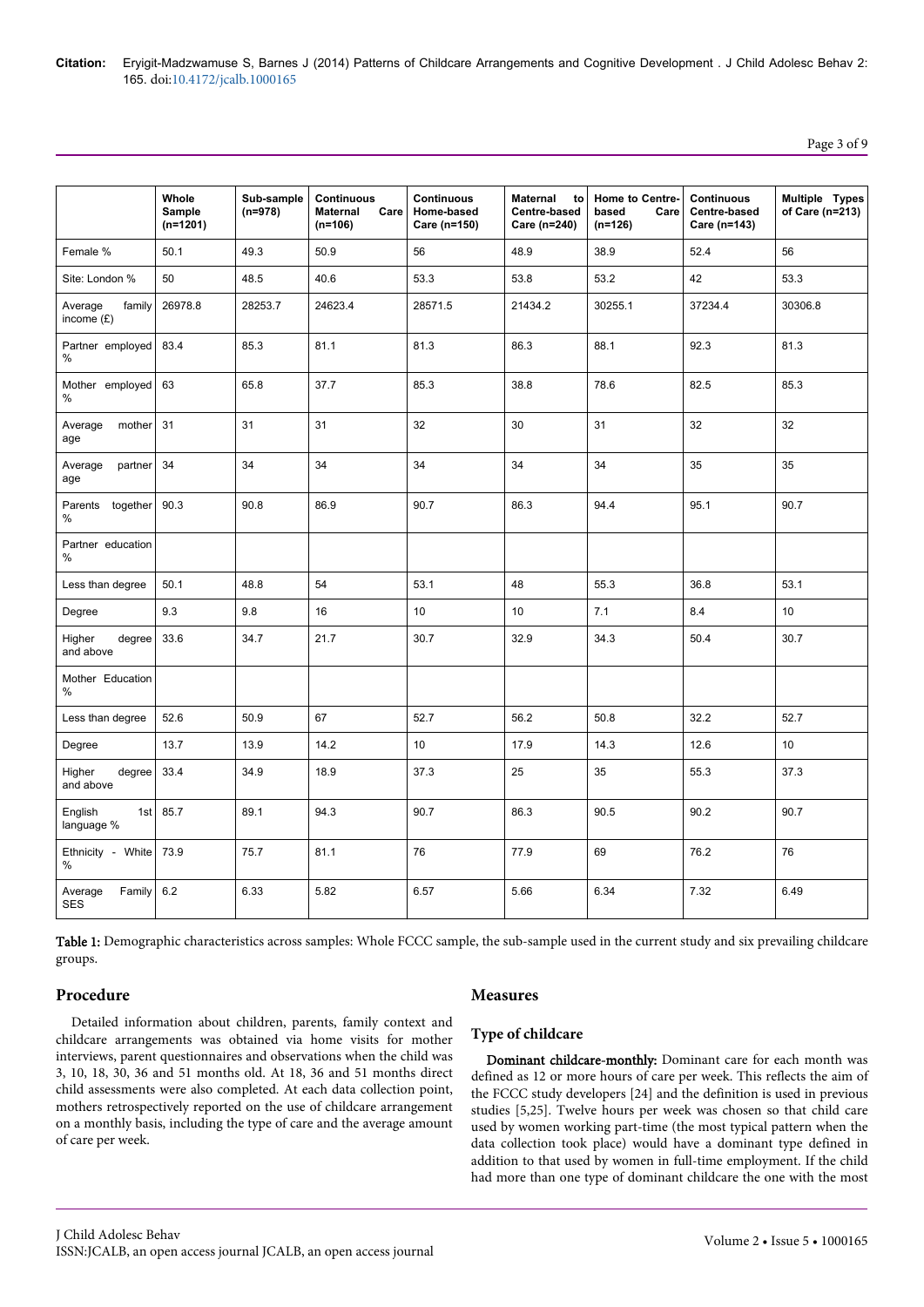# Page 3 of 9

|                                   | Whole<br>Sample<br>$(n=1201)$ | Sub-sample<br>$(n=978)$ | Continuous<br>Care<br>Maternal<br>$(n=106)$ | <b>Continuous</b><br>Home-based<br>Care (n=150) | Maternal<br>to<br>Centre-based<br>Care (n=240) | Home to Centre-<br>based<br>Care<br>$(n=126)$ | <b>Continuous</b><br>Centre-based<br>Care (n=143) | Multiple Types<br>of Care (n=213) |
|-----------------------------------|-------------------------------|-------------------------|---------------------------------------------|-------------------------------------------------|------------------------------------------------|-----------------------------------------------|---------------------------------------------------|-----------------------------------|
| Female %                          | 50.1                          | 49.3                    | 50.9                                        | 56                                              | 48.9                                           | 38.9                                          | 52.4                                              | 56                                |
| Site: London %                    | 50                            | 48.5                    | 40.6                                        | 53.3                                            | 53.8                                           | 53.2                                          | 42                                                | 53.3                              |
| family<br>Average<br>income $(E)$ | 26978.8                       | 28253.7                 | 24623.4                                     | 28571.5                                         | 21434.2                                        | 30255.1                                       | 37234.4                                           | 30306.8                           |
| Partner employed<br>$\%$          | 83.4                          | 85.3                    | 81.1                                        | 81.3                                            | 86.3                                           | 88.1                                          | 92.3                                              | 81.3                              |
| Mother employed<br>%              | 63                            | 65.8                    | 37.7                                        | 85.3                                            | 38.8                                           | 78.6                                          | 82.5                                              | 85.3                              |
| Average<br>mother<br>age          | 31                            | 31                      | 31                                          | 32                                              | 30                                             | 31                                            | 32                                                | 32                                |
| Average<br>partner<br>age         | 34                            | 34                      | 34                                          | 34                                              | 34                                             | 34                                            | 35                                                | 35                                |
| Parents together<br>$\%$          | 90.3                          | 90.8                    | 86.9                                        | 90.7                                            | 86.3                                           | 94.4                                          | 95.1                                              | 90.7                              |
| Partner education<br>%            |                               |                         |                                             |                                                 |                                                |                                               |                                                   |                                   |
| Less than degree                  | 50.1                          | 48.8                    | 54                                          | 53.1                                            | 48                                             | 55.3                                          | 36.8                                              | 53.1                              |
| Degree                            | 9.3                           | 9.8                     | 16                                          | 10                                              | 10                                             | 7.1                                           | 8.4                                               | 10                                |
| Higher<br>degree<br>and above     | 33.6                          | 34.7                    | 21.7                                        | 30.7                                            | 32.9                                           | 34.3                                          | 50.4                                              | 30.7                              |
| Mother Education<br>%             |                               |                         |                                             |                                                 |                                                |                                               |                                                   |                                   |
| Less than degree                  | 52.6                          | 50.9                    | 67                                          | 52.7                                            | 56.2                                           | 50.8                                          | 32.2                                              | 52.7                              |
| Degree                            | 13.7                          | 13.9                    | 14.2                                        | 10                                              | 17.9                                           | 14.3                                          | 12.6                                              | 10                                |
| Higher<br>degree<br>and above     | 33.4                          | 34.9                    | 18.9                                        | 37.3                                            | 25                                             | 35                                            | 55.3                                              | 37.3                              |
| 1st<br>English<br>language %      | 85.7                          | 89.1                    | 94.3                                        | 90.7                                            | 86.3                                           | 90.5                                          | 90.2                                              | 90.7                              |
| Ethnicity - White<br>%            | 73.9                          | 75.7                    | 81.1                                        | 76                                              | 77.9                                           | 69                                            | 76.2                                              | 76                                |
| Average<br>Family<br><b>SES</b>   | 6.2                           | 6.33                    | 5.82                                        | 6.57                                            | 5.66                                           | 6.34                                          | 7.32                                              | 6.49                              |

Table 1: Demographic characteristics across samples: Whole FCCC sample, the sub-sample used in the current study and six prevailing childcare groups.

#### **Procedure**

# **Measures**

Detailed information about children, parents, family context and childcare arrangements was obtained via home visits for mother interviews, parent questionnaires and observations when the child was 3, 10, 18, 30, 36 and 51 months old. At 18, 36 and 51 months direct child assessments were also completed. At each data collection point, mothers retrospectively reported on the use of childcare arrangement on a monthly basis, including the type of care and the average amount of care per week.

#### **Type of childcare**

Dominant childcare-monthly: Dominant care for each month was defined as 12 or more hours of care per week. This reflects the aim of the FCCC study developers [24] and the definition is used in previous studies [5,25]. Twelve hours per week was chosen so that child care used by women working part-time (the most typical pattern when the data collection took place) would have a dominant type defined in addition to that used by women in full-time employment. If the child had more than one type of dominant childcare the one with the most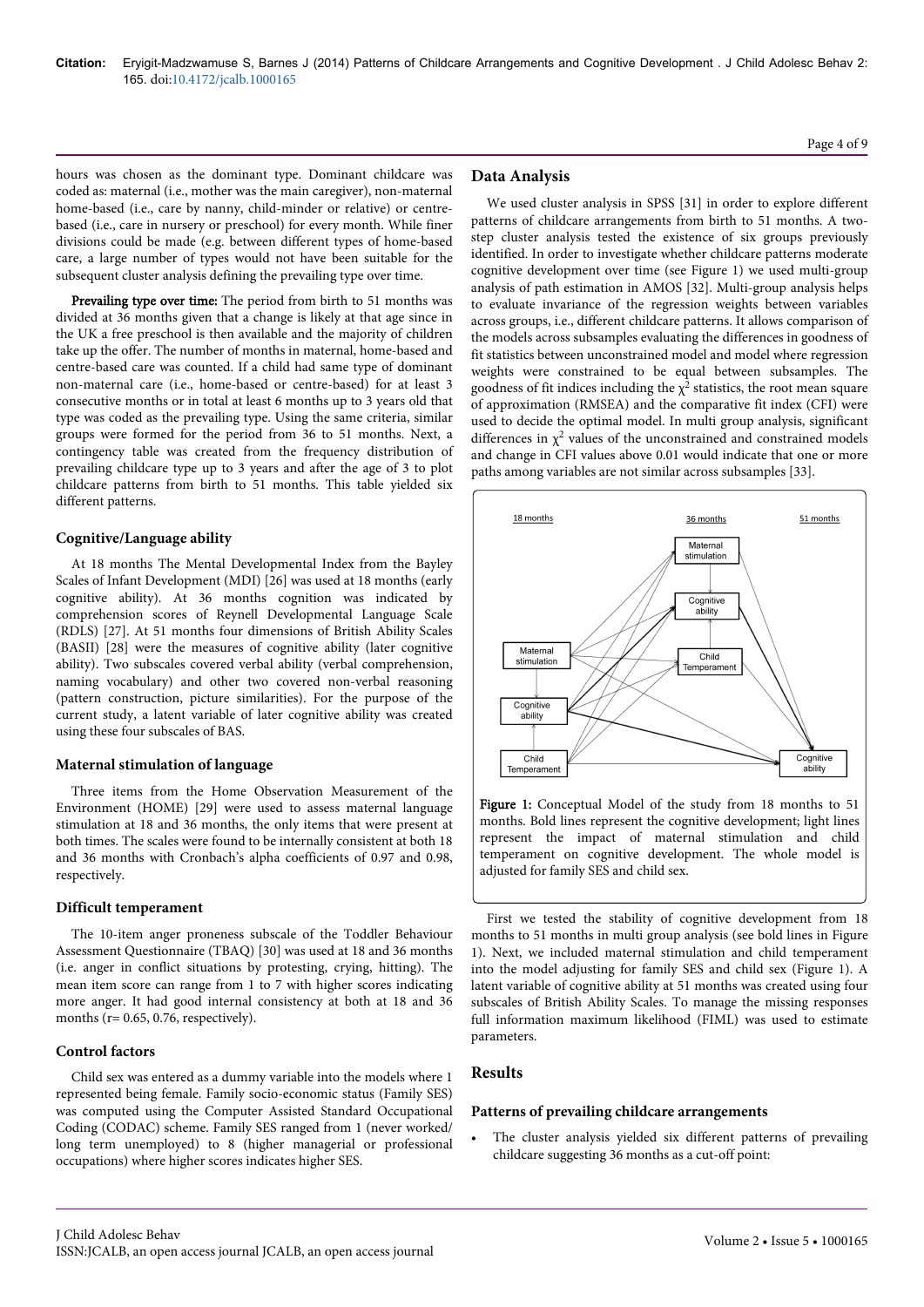hours was chosen as the dominant type. Dominant childcare was coded as: maternal (i.e., mother was the main caregiver), non-maternal home-based (i.e., care by nanny, child-minder or relative) or centrebased (i.e., care in nursery or preschool) for every month. While finer divisions could be made (e.g. between different types of home-based care, a large number of types would not have been suitable for the subsequent cluster analysis defining the prevailing type over time.

Prevailing type over time: The period from birth to 51 months was divided at 36 months given that a change is likely at that age since in the UK a free preschool is then available and the majority of children take up the offer. The number of months in maternal, home-based and centre-based care was counted. If a child had same type of dominant non-maternal care (i.e., home-based or centre-based) for at least 3 consecutive months or in total at least 6 months up to 3 years old that type was coded as the prevailing type. Using the same criteria, similar groups were formed for the period from 36 to 51 months. Next, a contingency table was created from the frequency distribution of prevailing childcare type up to 3 years and after the age of 3 to plot childcare patterns from birth to 51 months. This table yielded six different patterns.

#### **Cognitive/Language ability**

At 18 months The Mental Developmental Index from the Bayley Scales of Infant Development (MDI) [26] was used at 18 months (early cognitive ability). At 36 months cognition was indicated by comprehension scores of Reynell Developmental Language Scale (RDLS) [27]. At 51 months four dimensions of British Ability Scales (BASII) [28] were the measures of cognitive ability (later cognitive ability). Two subscales covered verbal ability (verbal comprehension, naming vocabulary) and other two covered non-verbal reasoning (pattern construction, picture similarities). For the purpose of the current study, a latent variable of later cognitive ability was created using these four subscales of BAS.

#### **Maternal stimulation of language**

Three items from the Home Observation Measurement of the Environment (HOME) [29] were used to assess maternal language stimulation at 18 and 36 months, the only items that were present at both times. The scales were found to be internally consistent at both 18 and 36 months with Cronbach's alpha coefficients of 0.97 and 0.98, respectively.

### **Difficult temperament**

The 10-item anger proneness subscale of the Toddler Behaviour Assessment Questionnaire (TBAQ) [30] was used at 18 and 36 months (i.e. anger in conflict situations by protesting, crying, hitting). The mean item score can range from 1 to 7 with higher scores indicating more anger. It had good internal consistency at both at 18 and 36 months ( $r= 0.65, 0.76$ , respectively).

### **Control factors**

Child sex was entered as a dummy variable into the models where 1 represented being female. Family socio-economic status (Family SES) was computed using the Computer Assisted Standard Occupational Coding (CODAC) scheme. Family SES ranged from 1 (never worked/ long term unemployed) to 8 (higher managerial or professional occupations) where higher scores indicates higher SES.

# **Data Analysis**

We used cluster analysis in SPSS [31] in order to explore different patterns of childcare arrangements from birth to 51 months. A twostep cluster analysis tested the existence of six groups previously identified. In order to investigate whether childcare patterns moderate cognitive development over time (see Figure 1) we used multi-group analysis of path estimation in AMOS [32]. Multi-group analysis helps to evaluate invariance of the regression weights between variables across groups, i.e., different childcare patterns. It allows comparison of the models across subsamples evaluating the differences in goodness of fit statistics between unconstrained model and model where regression weights were constrained to be equal between subsamples. The goodness of fit indices including the  $\chi^2$  statistics, the root mean square of approximation (RMSEA) and the comparative fit index (CFI) were used to decide the optimal model. In multi group analysis, significant differences in  $\chi^2$  values of the unconstrained and constrained models and change in CFI values above 0.01 would indicate that one or more paths among variables are not similar across subsamples [33].



Figure 1: Conceptual Model of the study from 18 months to 51 months. Bold lines represent the cognitive development; light lines represent the impact of maternal stimulation and child temperament on cognitive development. The whole model is adjusted for family SES and child sex.

First we tested the stability of cognitive development from 18 months to 51 months in multi group analysis (see bold lines in Figure 1). Next, we included maternal stimulation and child temperament into the model adjusting for family SES and child sex (Figure 1). A latent variable of cognitive ability at 51 months was created using four subscales of British Ability Scales. To manage the missing responses full information maximum likelihood (FIML) was used to estimate parameters.

# **Results**

### **Patterns of prevailing childcare arrangements**

The cluster analysis yielded six different patterns of prevailing childcare suggesting 36 months as a cut-off point: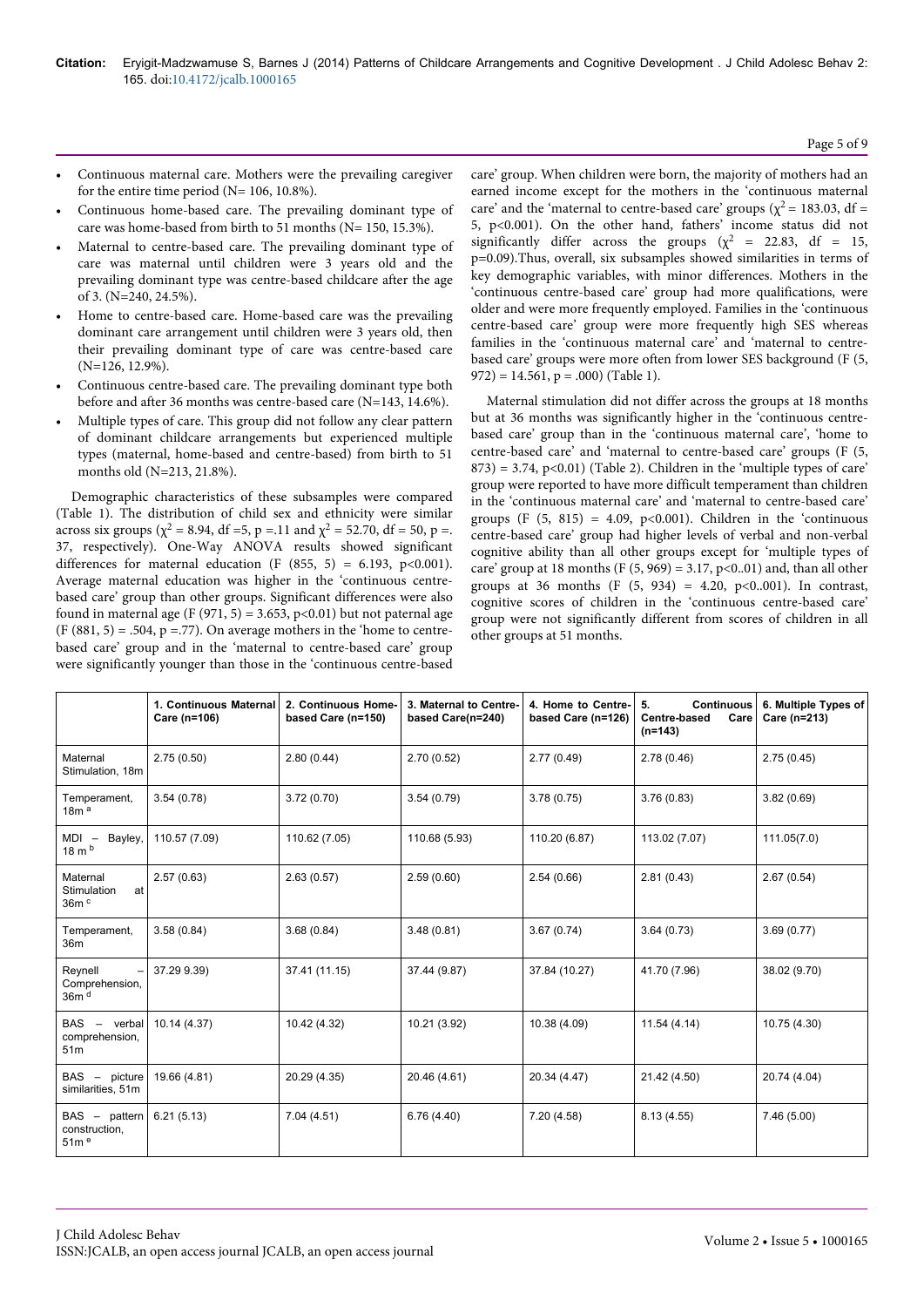- Continuous maternal care. Mothers were the prevailing caregiver for the entire time period ( $N= 106, 10.8\%$ ).
- Continuous home-based care. The prevailing dominant type of care was home-based from birth to 51 months (N= 150, 15.3%).
- Maternal to centre-based care. The prevailing dominant type of care was maternal until children were 3 years old and the prevailing dominant type was centre-based childcare after the age of 3. (N=240, 24.5%).
- Home to centre-based care. Home-based care was the prevailing dominant care arrangement until children were 3 years old, then their prevailing dominant type of care was centre-based care (N=126, 12.9%).
- Continuous centre-based care. The prevailing dominant type both before and after 36 months was centre-based care (N=143, 14.6%).
- Multiple types of care. This group did not follow any clear pattern of dominant childcare arrangements but experienced multiple types (maternal, home-based and centre-based) from birth to 51 months old (N=213, 21.8%).

Demographic characteristics of these subsamples were compared (Table 1). The distribution of child sex and ethnicity were similar across six groups ( $\chi^2$  = 8.94, df =5, p =.11 and  $\chi^2$  = 52.70, df = 50, p =. 37, respectively). One-Way ANOVA results showed significant differences for maternal education (F  $(855, 5) = 6.193, p<0.001$ ). Average maternal education was higher in the 'continuous centrebased care' group than other groups. Significant differences were also found in maternal age (F (971, 5) = 3.653, p<0.01) but not paternal age  $(F (881, 5) = .504, p = .77)$ . On average mothers in the 'home to centrebased care' group and in the 'maternal to centre-based care' group were significantly younger than those in the 'continuous centre-based

care' group. When children were born, the majority of mothers had an earned income except for the mothers in the 'continuous maternal care' and the 'maternal to centre-based care' groups ( $\chi^2$  = 183.03, df = 5, p<0.001). On the other hand, fathers' income status did not significantly differ across the groups ( $\chi^2$  = 22.83, df = 15, p=0.09).Thus, overall, six subsamples showed similarities in terms of key demographic variables, with minor differences. Mothers in the 'continuous centre-based care' group had more qualifications, were older and were more frequently employed. Families in the 'continuous centre-based care' group were more frequently high SES whereas families in the 'continuous maternal care' and 'maternal to centrebased care' groups were more often from lower SES background (F (5, 972) = 14.561, p = .000) (Table 1).

Maternal stimulation did not differ across the groups at 18 months but at 36 months was significantly higher in the 'continuous centrebased care' group than in the 'continuous maternal care', 'home to centre-based care' and 'maternal to centre-based care' groups (F (5,  $(873) = 3.74$ ,  $p<0.01)$  (Table 2). Children in the 'multiple types of care' group were reported to have more difficult temperament than children in the 'continuous maternal care' and 'maternal to centre-based care' groups  $(F (5, 815) = 4.09, p<0.001)$ . Children in the 'continuous' centre-based care' group had higher levels of verbal and non-verbal cognitive ability than all other groups except for 'multiple types of care' group at 18 months (F  $(5, 969) = 3.17$ , p<0..01) and, than all other groups at 36 months (F  $(5, 934) = 4.20, p<0.001$ ). In contrast, cognitive scores of children in the 'continuous centre-based care' group were not significantly different from scores of children in all other groups at 51 months.

|                                                        | 1. Continuous Maternal<br>Care (n=106) | 2. Continuous Home-<br>based Care (n=150) | 3. Maternal to Centre-<br>based Care(n=240) | 4. Home to Centre-<br>based Care (n=126) | <b>Continuous</b><br>5.<br><b>Centre-based</b><br>Care<br>$(n=143)$ | 6. Multiple Types of<br>Care (n=213) |
|--------------------------------------------------------|----------------------------------------|-------------------------------------------|---------------------------------------------|------------------------------------------|---------------------------------------------------------------------|--------------------------------------|
| Maternal<br>Stimulation, 18m                           | 2.75(0.50)                             | 2.80(0.44)                                | 2.70(0.52)                                  | 2.77(0.49)                               | 2.78(0.46)                                                          | 2.75(0.45)                           |
| Temperament,<br>18m <sup>a</sup>                       | 3.54(0.78)                             | 3.72(0.70)                                | 3.54(0.79)                                  | 3.78(0.75)                               | 3.76(0.83)                                                          | 3.82(0.69)                           |
| Bayley,<br>$MDI -$<br>$18 \text{ m}$ <sub>b</sub>      | 110.57 (7.09)                          | 110.62 (7.05)                             | 110.68 (5.93)                               | 110.20 (6.87)                            | 113.02 (7.07)                                                       | 111.05(7.0)                          |
| Maternal<br>Stimulation<br>at<br>36m <sup>c</sup>      | 2.57(0.63)                             | 2.63(0.57)                                | 2.59(0.60)                                  | 2.54(0.66)                               | 2.81(0.43)                                                          | 2.67(0.54)                           |
| Temperament,<br>36m                                    | 3.58(0.84)                             | 3.68(0.84)                                | 3.48(0.81)                                  | 3.67(0.74)                               | 3.64(0.73)                                                          | 3.69(0.77)                           |
| Reynell<br>Comprehension,<br>36m <sup>d</sup>          | 37.29 9.39)                            | 37.41 (11.15)                             | 37.44 (9.87)                                | 37.84 (10.27)                            | 41.70 (7.96)                                                        | 38.02 (9.70)                         |
| $BAS -$<br>verbal<br>comprehension,<br>51 <sub>m</sub> | 10.14 (4.37)                           | 10.42 (4.32)                              | 10.21 (3.92)                                | 10.38 (4.09)                             | 11.54(4.14)                                                         | 10.75 (4.30)                         |
| $BAS -$<br>picture<br>similarities, 51m                | 19.66 (4.81)                           | 20.29 (4.35)                              | 20.46 (4.61)                                | 20.34 (4.47)                             | 21.42 (4.50)                                                        | 20.74 (4.04)                         |
| $BAS -$<br>pattern<br>construction,<br>51 <sup>6</sup> | 6.21(5.13)                             | 7.04(4.51)                                | 6.76(4.40)                                  | 7.20 (4.58)                              | 8.13(4.55)                                                          | 7.46(5.00)                           |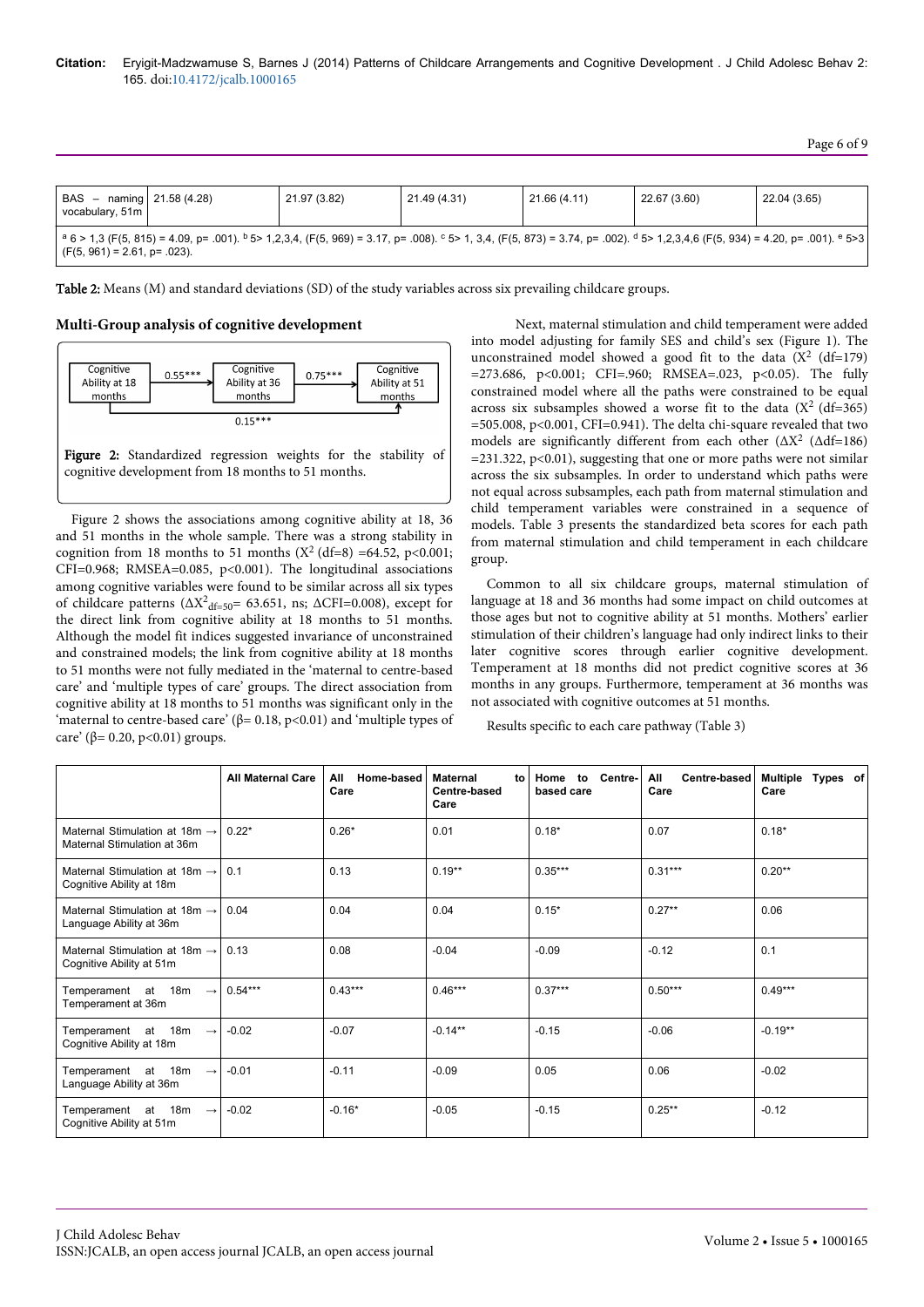Page 6 of 9

| BAS - naming   21.58 (4.28)<br>vocabulary, 51m                                                                                                                                                                                   |  | 21.97 (3.82) | 21.49 (4.31) | 21.66 (4.11) | 22.67 (3.60) | 22.04 (3.65) |  |
|----------------------------------------------------------------------------------------------------------------------------------------------------------------------------------------------------------------------------------|--|--------------|--------------|--------------|--------------|--------------|--|
| $a_6 > 1,3$ (F(5, 815) = 4.09, p= .001). $b_5 > 1,2,3,4$ , (F(5, 969) = 3.17, p= .008). $c_5 > 1,3,4$ , (F(5, 873) = 3.74, p= .002). $d_5 > 1,2,3,4,6$ (F(5, 934) = 4.20, p= .001). $e_5 > 3$<br>$(F(5, 961) = 2.61, p = .023).$ |  |              |              |              |              |              |  |

Table 2: Means (M) and standard deviations (SD) of the study variables across six prevailing childcare groups.

**Multi-Group analysis of cognitive development**



Figure 2 shows the associations among cognitive ability at 18, 36 and 51 months in the whole sample. There was a strong stability in cognition from 18 months to 51 months ( $X^2$  (df=8) =64.52, p<0.001; CFI=0.968; RMSEA=0.085, p<0.001). The longitudinal associations among cognitive variables were found to be similar across all six types of childcare patterns ( $\Delta X^2$ <sub>df=50</sub>= 63.651, ns;  $\Delta$ CFI=0.008), except for the direct link from cognitive ability at 18 months to 51 months. Although the model fit indices suggested invariance of unconstrained and constrained models; the link from cognitive ability at 18 months to 51 months were not fully mediated in the 'maternal to centre-based care' and 'multiple types of care' groups. The direct association from cognitive ability at 18 months to 51 months was significant only in the 'maternal to centre-based care' ( $\beta$ = 0.18, p<0.01) and 'multiple types of care' (β= 0.20, p<0.01) groups.

Next, maternal stimulation and child temperament were added into model adjusting for family SES and child's sex (Figure 1). The unconstrained model showed a good fit to the data ( $X^2$  (df=179) =273.686, p<0.001; CFI=.960; RMSEA=.023, p<0.05). The fully constrained model where all the paths were constrained to be equal across six subsamples showed a worse fit to the data  $(X^2 (df=365))$ =505.008, p<0.001, CFI=0.941). The delta chi-square revealed that two models are significantly different from each other  $(\Delta X^2 \, (\Delta df=186)$  $=$  231.322, p<0.01), suggesting that one or more paths were not similar across the six subsamples. In order to understand which paths were not equal across subsamples, each path from maternal stimulation and child temperament variables were constrained in a sequence of models. Table 3 presents the standardized beta scores for each path from maternal stimulation and child temperament in each childcare group.

Common to all six childcare groups, maternal stimulation of language at 18 and 36 months had some impact on child outcomes at those ages but not to cognitive ability at 51 months. Mothers' earlier stimulation of their children's language had only indirect links to their later cognitive scores through earlier cognitive development. Temperament at 18 months did not predict cognitive scores at 36 months in any groups. Furthermore, temperament at 36 months was not associated with cognitive outcomes at 51 months.

Results specific to each care pathway (Table 3)

|                                                                          | <b>All Maternal Care</b> | All<br>Home-based<br>Care | <b>Maternal</b><br>to<br>Centre-based<br>Care | Home<br>Centre-<br>to<br>based care | All<br><b>Centre-based</b><br>Care | Multiple<br>Types of<br>Care |
|--------------------------------------------------------------------------|--------------------------|---------------------------|-----------------------------------------------|-------------------------------------|------------------------------------|------------------------------|
| Maternal Stimulation at 18m $\rightarrow$<br>Maternal Stimulation at 36m | $0.22*$                  | $0.26*$                   | 0.01                                          | $0.18*$                             | 0.07                               | $0.18*$                      |
| Maternal Stimulation at 18m $\rightarrow$<br>Cognitive Ability at 18m    | 0.1                      | 0.13                      | $0.19**$                                      | $0.35***$                           | $0.31***$                          | $0.20**$                     |
| Maternal Stimulation at 18m $\rightarrow$<br>Language Ability at 36m     | 0.04                     | 0.04                      | 0.04                                          | $0.15*$                             | $0.27**$                           | 0.06                         |
| Maternal Stimulation at 18m $\rightarrow$<br>Cognitive Ability at 51m    | 0.13                     | 0.08                      | $-0.04$                                       | $-0.09$                             | $-0.12$                            | 0.1                          |
| Temperament at 18m<br>$\rightarrow$<br>Temperament at 36m                | $0.54***$                | $0.43***$                 | $0.46***$                                     | $0.37***$                           | $0.50***$                          | $0.49***$                    |
| Temperament at 18m<br>$\rightarrow$<br>Cognitive Ability at 18m          | $-0.02$                  | $-0.07$                   | $-0.14***$                                    | $-0.15$                             | $-0.06$                            | $-0.19**$                    |
| Temperament at 18m<br>$\rightarrow$<br>Language Ability at 36m           | $-0.01$                  | $-0.11$                   | $-0.09$                                       | 0.05                                | 0.06                               | $-0.02$                      |
| Temperament at 18m<br>$\rightarrow$<br>Cognitive Ability at 51m          | $-0.02$                  | $-0.16*$                  | $-0.05$                                       | $-0.15$                             | $0.25***$                          | $-0.12$                      |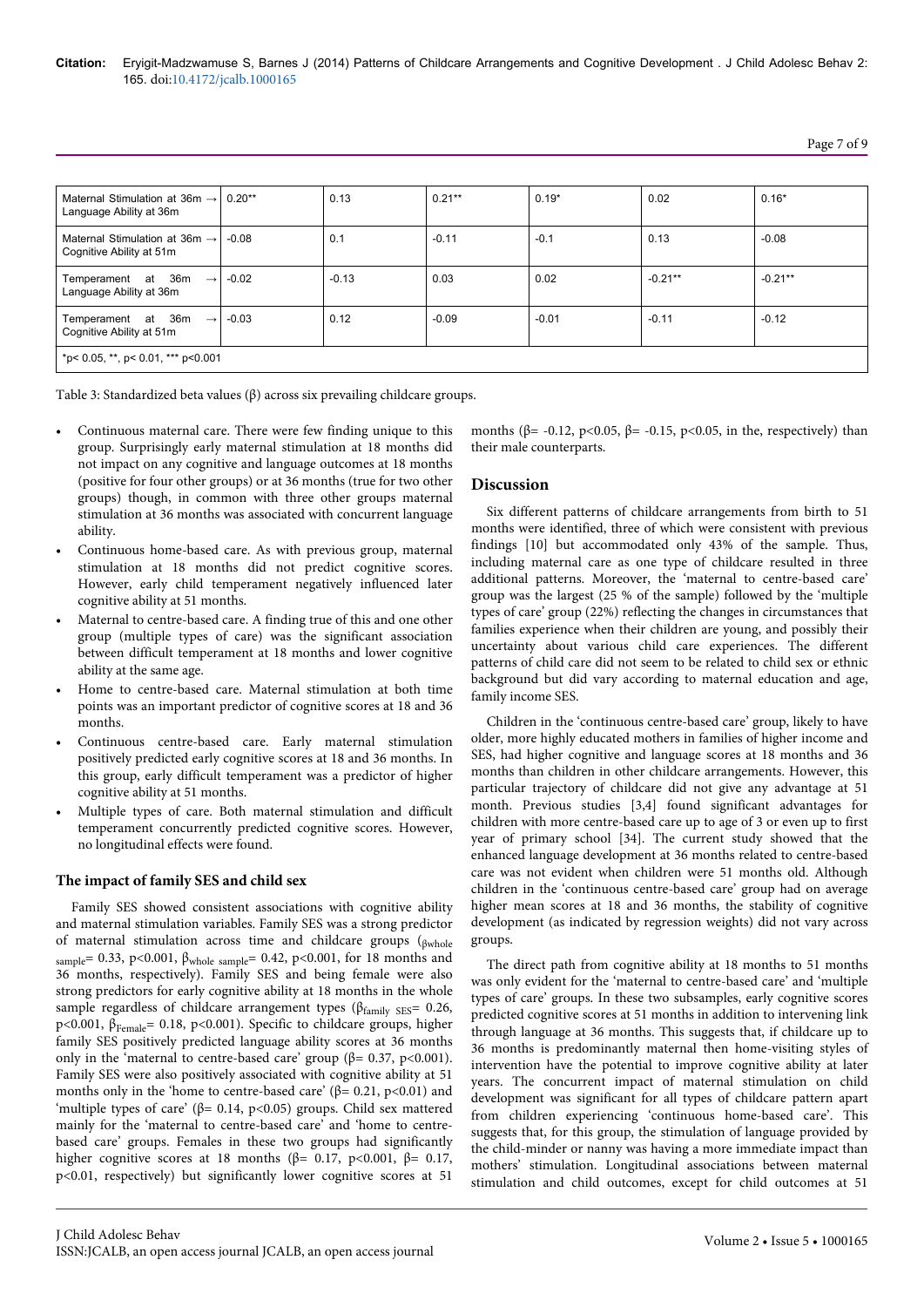# Page 7 of 9

| Maternal Stimulation at $36m \rightarrow 0.20**$<br>Language Ability at 36m |  | 0.13    | $0.21***$ | $0.19*$ | 0.02      | $0.16*$   |
|-----------------------------------------------------------------------------|--|---------|-----------|---------|-----------|-----------|
| Maternal Stimulation at $36m \rightarrow 0.08$<br>Cognitive Ability at 51m  |  | 0.1     | $-0.11$   | $-0.1$  | 0.13      | $-0.08$   |
| Temperament at $36m \rightarrow .0.02$<br>Language Ability at 36m           |  | $-0.13$ | 0.03      | 0.02    | $-0.21**$ | $-0.21**$ |
| Temperament at $36m \rightarrow$ -0.03<br>Cognitive Ability at 51m          |  | 0.12    | $-0.09$   | $-0.01$ | $-0.11$   | $-0.12$   |
| *p< 0.05, **, p< 0.01, *** p<0.001                                          |  |         |           |         |           |           |

Table 3: Standardized beta values (β) across six prevailing childcare groups.

- Continuous maternal care. There were few finding unique to this group. Surprisingly early maternal stimulation at 18 months did not impact on any cognitive and language outcomes at 18 months (positive for four other groups) or at 36 months (true for two other groups) though, in common with three other groups maternal stimulation at 36 months was associated with concurrent language ability.
- Continuous home-based care. As with previous group, maternal stimulation at 18 months did not predict cognitive scores. However, early child temperament negatively influenced later cognitive ability at 51 months.
- Maternal to centre-based care. A finding true of this and one other group (multiple types of care) was the significant association between difficult temperament at 18 months and lower cognitive ability at the same age.
- Home to centre-based care. Maternal stimulation at both time points was an important predictor of cognitive scores at 18 and 36 months.
- Continuous centre-based care. Early maternal stimulation positively predicted early cognitive scores at 18 and 36 months. In this group, early difficult temperament was a predictor of higher cognitive ability at 51 months.
- Multiple types of care. Both maternal stimulation and difficult temperament concurrently predicted cognitive scores. However, no longitudinal effects were found.

### **The impact of family SES and child sex**

Family SES showed consistent associations with cognitive ability and maternal stimulation variables. Family SES was a strong predictor of maternal stimulation across time and childcare groups (βwhole sample= 0.33, p<0.001,  $β<sub>whole sample</sub> = 0.42$ , p<0.001, for 18 months and 36 months, respectively). Family SES and being female were also strong predictors for early cognitive ability at 18 months in the whole sample regardless of childcare arrangement types ( $\beta_{\text{family SES}}$  = 0.26, p<0.001, βFemale= 0.18, p<0.001). Specific to childcare groups, higher family SES positively predicted language ability scores at 36 months only in the 'maternal to centre-based care' group (β= 0.37, p<0.001). Family SES were also positively associated with cognitive ability at 51 months only in the 'home to centre-based care' ( $\beta$ = 0.21, p<0.01) and 'multiple types of care' ( $\beta$ = 0.14, p<0.05) groups. Child sex mattered mainly for the 'maternal to centre-based care' and 'home to centrebased care' groups. Females in these two groups had significantly higher cognitive scores at 18 months (β= 0.17, p<0.001, β= 0.17, p<0.01, respectively) but significantly lower cognitive scores at 51

months ( $\beta$ = -0.12, p<0.05,  $\beta$ = -0.15, p<0.05, in the, respectively) than their male counterparts.

#### **Discussion**

Six different patterns of childcare arrangements from birth to 51 months were identified, three of which were consistent with previous findings [10] but accommodated only 43% of the sample. Thus, including maternal care as one type of childcare resulted in three additional patterns. Moreover, the 'maternal to centre-based care' group was the largest (25 % of the sample) followed by the 'multiple types of care' group (22%) reflecting the changes in circumstances that families experience when their children are young, and possibly their uncertainty about various child care experiences. The different patterns of child care did not seem to be related to child sex or ethnic background but did vary according to maternal education and age, family income SES.

Children in the 'continuous centre-based care' group, likely to have older, more highly educated mothers in families of higher income and SES, had higher cognitive and language scores at 18 months and 36 months than children in other childcare arrangements. However, this particular trajectory of childcare did not give any advantage at 51 month. Previous studies [3,4] found significant advantages for children with more centre-based care up to age of 3 or even up to first year of primary school [34]. The current study showed that the enhanced language development at 36 months related to centre-based care was not evident when children were 51 months old. Although children in the 'continuous centre-based care' group had on average higher mean scores at 18 and 36 months, the stability of cognitive development (as indicated by regression weights) did not vary across groups.

The direct path from cognitive ability at 18 months to 51 months was only evident for the 'maternal to centre-based care' and 'multiple types of care' groups. In these two subsamples, early cognitive scores predicted cognitive scores at 51 months in addition to intervening link through language at 36 months. This suggests that, if childcare up to 36 months is predominantly maternal then home-visiting styles of intervention have the potential to improve cognitive ability at later years. The concurrent impact of maternal stimulation on child development was significant for all types of childcare pattern apart from children experiencing 'continuous home-based care'. This suggests that, for this group, the stimulation of language provided by the child-minder or nanny was having a more immediate impact than mothers' stimulation. Longitudinal associations between maternal stimulation and child outcomes, except for child outcomes at 51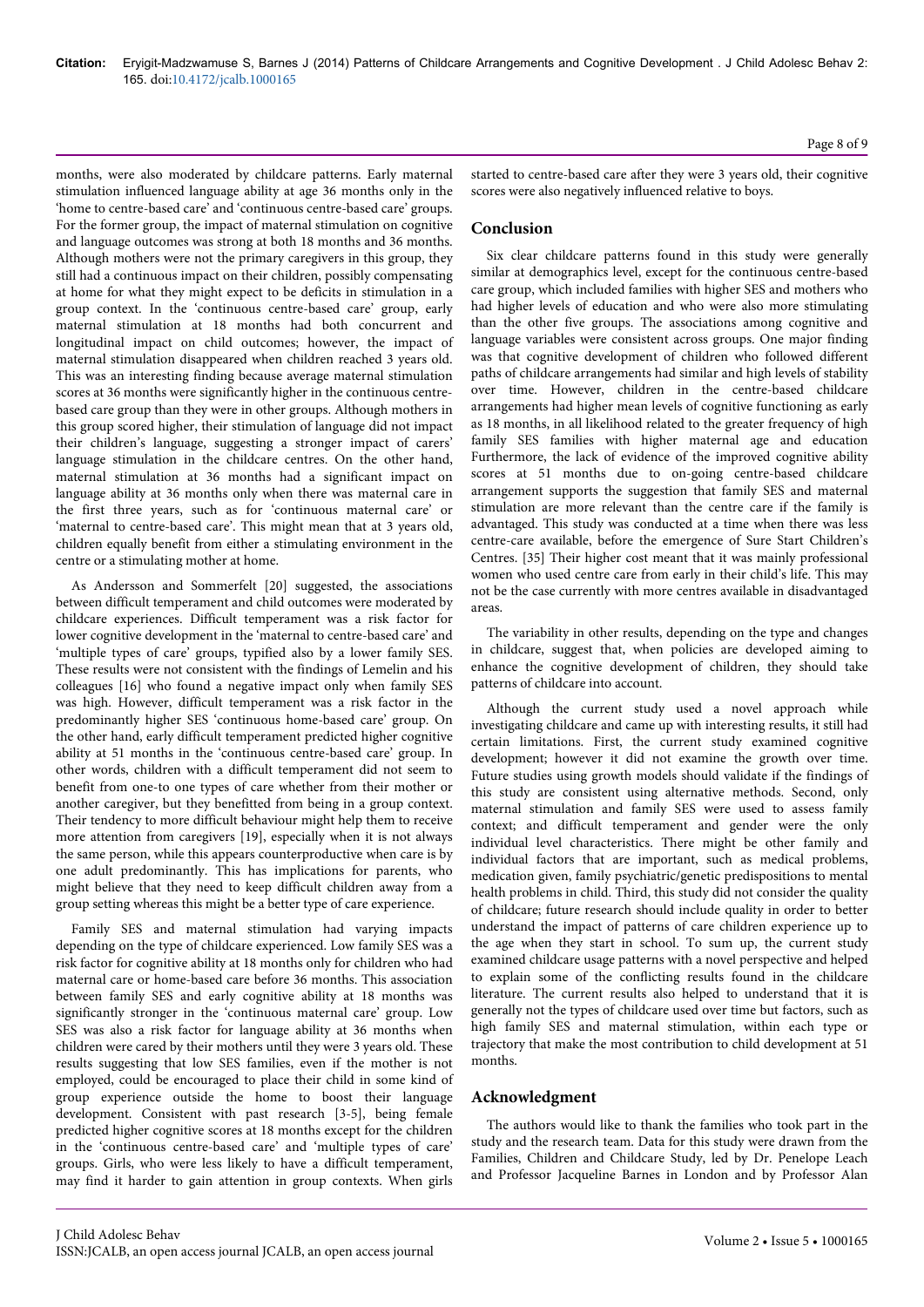months, were also moderated by childcare patterns. Early maternal stimulation influenced language ability at age 36 months only in the 'home to centre-based care' and 'continuous centre-based care' groups. For the former group, the impact of maternal stimulation on cognitive and language outcomes was strong at both 18 months and 36 months. Although mothers were not the primary caregivers in this group, they still had a continuous impact on their children, possibly compensating at home for what they might expect to be deficits in stimulation in a group context. In the 'continuous centre-based care' group, early maternal stimulation at 18 months had both concurrent and longitudinal impact on child outcomes; however, the impact of maternal stimulation disappeared when children reached 3 years old. This was an interesting finding because average maternal stimulation scores at 36 months were significantly higher in the continuous centrebased care group than they were in other groups. Although mothers in this group scored higher, their stimulation of language did not impact their children's language, suggesting a stronger impact of carers' language stimulation in the childcare centres. On the other hand, maternal stimulation at 36 months had a significant impact on language ability at 36 months only when there was maternal care in the first three years, such as for 'continuous maternal care' or 'maternal to centre-based care'. This might mean that at 3 years old, children equally benefit from either a stimulating environment in the centre or a stimulating mother at home.

As Andersson and Sommerfelt [20] suggested, the associations between difficult temperament and child outcomes were moderated by childcare experiences. Difficult temperament was a risk factor for lower cognitive development in the 'maternal to centre-based care' and 'multiple types of care' groups, typified also by a lower family SES. These results were not consistent with the findings of Lemelin and his colleagues [16] who found a negative impact only when family SES was high. However, difficult temperament was a risk factor in the predominantly higher SES 'continuous home-based care' group. On the other hand, early difficult temperament predicted higher cognitive ability at 51 months in the 'continuous centre-based care' group. In other words, children with a difficult temperament did not seem to benefit from one-to one types of care whether from their mother or another caregiver, but they benefitted from being in a group context. Their tendency to more difficult behaviour might help them to receive more attention from caregivers [19], especially when it is not always the same person, while this appears counterproductive when care is by one adult predominantly. This has implications for parents, who might believe that they need to keep difficult children away from a group setting whereas this might be a better type of care experience.

Family SES and maternal stimulation had varying impacts depending on the type of childcare experienced. Low family SES was a risk factor for cognitive ability at 18 months only for children who had maternal care or home-based care before 36 months. This association between family SES and early cognitive ability at 18 months was significantly stronger in the 'continuous maternal care' group. Low SES was also a risk factor for language ability at 36 months when children were cared by their mothers until they were 3 years old. These results suggesting that low SES families, even if the mother is not employed, could be encouraged to place their child in some kind of group experience outside the home to boost their language development. Consistent with past research [3-5], being female predicted higher cognitive scores at 18 months except for the children in the 'continuous centre-based care' and 'multiple types of care' groups. Girls, who were less likely to have a difficult temperament, may find it harder to gain attention in group contexts. When girls

started to centre-based care after they were 3 years old, their cognitive scores were also negatively influenced relative to boys.

# **Conclusion**

Six clear childcare patterns found in this study were generally similar at demographics level, except for the continuous centre-based care group, which included families with higher SES and mothers who had higher levels of education and who were also more stimulating than the other five groups. The associations among cognitive and language variables were consistent across groups. One major finding was that cognitive development of children who followed different paths of childcare arrangements had similar and high levels of stability over time. However, children in the centre-based childcare arrangements had higher mean levels of cognitive functioning as early as 18 months, in all likelihood related to the greater frequency of high family SES families with higher maternal age and education Furthermore, the lack of evidence of the improved cognitive ability scores at 51 months due to on-going centre-based childcare arrangement supports the suggestion that family SES and maternal stimulation are more relevant than the centre care if the family is advantaged. This study was conducted at a time when there was less centre-care available, before the emergence of Sure Start Children's Centres. [35] Their higher cost meant that it was mainly professional women who used centre care from early in their child's life. This may not be the case currently with more centres available in disadvantaged areas.

The variability in other results, depending on the type and changes in childcare, suggest that, when policies are developed aiming to enhance the cognitive development of children, they should take patterns of childcare into account.

Although the current study used a novel approach while investigating childcare and came up with interesting results, it still had certain limitations. First, the current study examined cognitive development; however it did not examine the growth over time. Future studies using growth models should validate if the findings of this study are consistent using alternative methods. Second, only maternal stimulation and family SES were used to assess family context; and difficult temperament and gender were the only individual level characteristics. There might be other family and individual factors that are important, such as medical problems, medication given, family psychiatric/genetic predispositions to mental health problems in child. Third, this study did not consider the quality of childcare; future research should include quality in order to better understand the impact of patterns of care children experience up to the age when they start in school. To sum up, the current study examined childcare usage patterns with a novel perspective and helped to explain some of the conflicting results found in the childcare literature. The current results also helped to understand that it is generally not the types of childcare used over time but factors, such as high family SES and maternal stimulation, within each type or trajectory that make the most contribution to child development at 51 months.

### **Acknowledgment**

The authors would like to thank the families who took part in the study and the research team. Data for this study were drawn from the Families, Children and Childcare Study, led by Dr. Penelope Leach and Professor Jacqueline Barnes in London and by Professor Alan